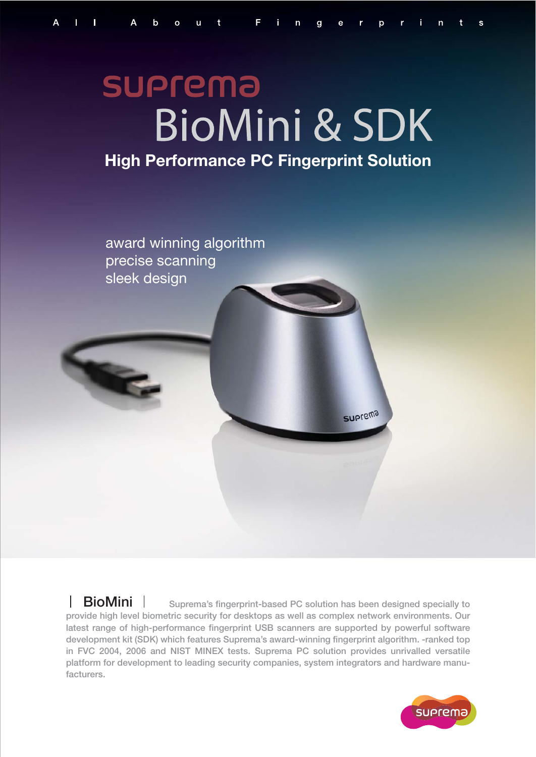# **SUPrema BioMini & SDK High Performance PC Fingerprint Solution**



**BioMini**  $\parallel$  Suprema's fingerprint-based PC solution has been designed specially to **provide high level biometric security for desktops as well as complex network environments. Our latest range of high-performance fingerprint USB scanners are supported by powerful software development kit (SDK) which features Suprema's award-winning fingerprint algorithm. -ranked top in FVC 2004, 2006 and NIST MINEX tests. Suprema PC solution provides unrivalled versatile platform for development to leading security companies, system integrators and hardware manufacturers.**